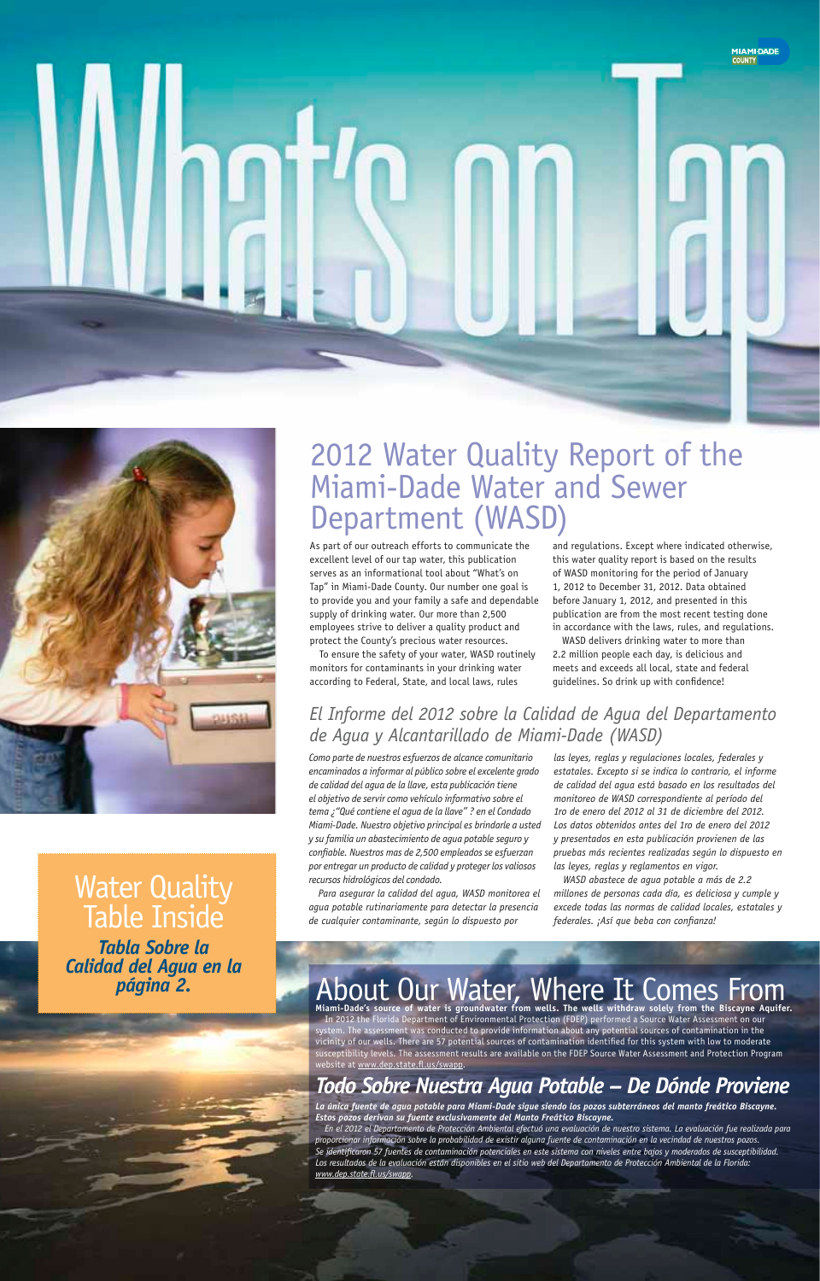# 2012 Water Quality Report of the Miami-Dade Water and Sewer Department (WASD)

As part of our outreach efforts to communicate the excellent level of our tap water, this publication serves as an informational tool about "What's on Tap" in Miami-Dade County. Our number one goal is to provide you and your family a safe and dependable supply of drinking water. Our more than 2,500 employees strive to deliver a quality product and protect the County's precious water resources.

To ensure the safety of your water, WASD routinely monitors for contaminants in your drinking water according to Federal, State, and local laws, rules





**Water Quality** Table Inside

and regulations. Except where indicated otherwise, this water quality report is based on the results of WASD monitoring for the period of January 1, 2012 to December 31, 2012. Data obtained before January 1, 2012, and presented in this publication are from the most recent testing done in accordance with the laws, rules, and regulations.

WASD delivers drinking water to more than 2.2 million people each day, is delicious and meets and exceeds all local, state and federal guidelines. So drink up with confidence!

## *El Informe del 2012 sobre la Calidad de Agua del Departamento de Agua y Alcantarillado de Miami-Dade (WASD)*

### *Tabla Sobre la Calidad del Agua en la página 2.*

# About Our Water, Where It Comes From<br>Miami-Dade's source of water is groundwater from wells. The wells withdraw solely from the Biscayne Aquifer.

*Como parte de nuestros esfuerzos de alcance comunitario encaminados a informar al público sobre el excelente grado de calidad del agua de la llave, esta publicación tiene el objetivo de servir como vehículo informativo sobre el tema ¿"Qué contiene el agua de la llave" ? en el Condado Miami-Dade. Nuestro objetivo principal es brindarle a usted y su familia un abastecimiento de agua potable seguro y confiable. Nuestros mas de 2,500 empleados se esfuerzan por entregar un producto de calidad y proteger los valiosos recursos hidrológicos del condado.*

In 2012 the Florida Department of Environmental Protection (FDEP) performed a Source Water Assessment on our system. The assessment was conducted to provide information about any potential sources of contamination in the vicinity of our wells. There are 57 potential sources of contamination identified for this system with low to moderate susceptibility levels. The assessment results are available on the FDEP Source Water Assessment and Protection Program website at www.dep.state.fl.us/swapp.

*Para asegurar la calidad del agua, WASD monitorea el agua potable rutinariamente para detectar la presencia de cualquier contaminante, según lo dispuesto por* 

*las leyes, reglas y regulaciones locales, federales y estatales. Excepto si se indica lo contrario, el informe de calidad del agua está basado en los resultados del monitoreo de WASD correspondiente al período del 1ro de enero del 2012 al 31 de diciembre del 2012. Los datos obtenidos antes del 1ro de enero del 2012 y presentados en esta publicación provienen de las pruebas más recientes realizadas según lo dispuesto en las leyes, reglas y reglamentos en vigor.*

*WASD abastece de agua potable a más de 2.2 millones de personas cada día, es deliciosa y cumple y excede todas las normas de calidad locales, estatales y federales. ¡Así que beba con confianza!* 

## *Todo Sobre Nuestra Agua Potable – De Dónde Proviene*

*La única fuente de agua potable para Miami-Dade sigue siendo los pozos subterráneos del manto freático Biscayne. Estos pozos derivan su fuente exclusivamente del Manto Freático Biscayne.* 

*En el 2012 el Departamento de Protección Ambiental efectuó una evaluación de nuestro sistema. La evaluación fue realizada para proporcionar información sobre la probabilidad de existir alguna fuente de contaminación en la vecindad de nuestros pozos. Se identificaron 57 fuentes de contaminación potenciales en este sistema con niveles entre bajos y moderados de susceptibilidad. Los resultados de la evaluación están disponibles en el sitio web del Departamento de Protección Ambiental de la Florida: www.dep.state.fl.us/swapp.*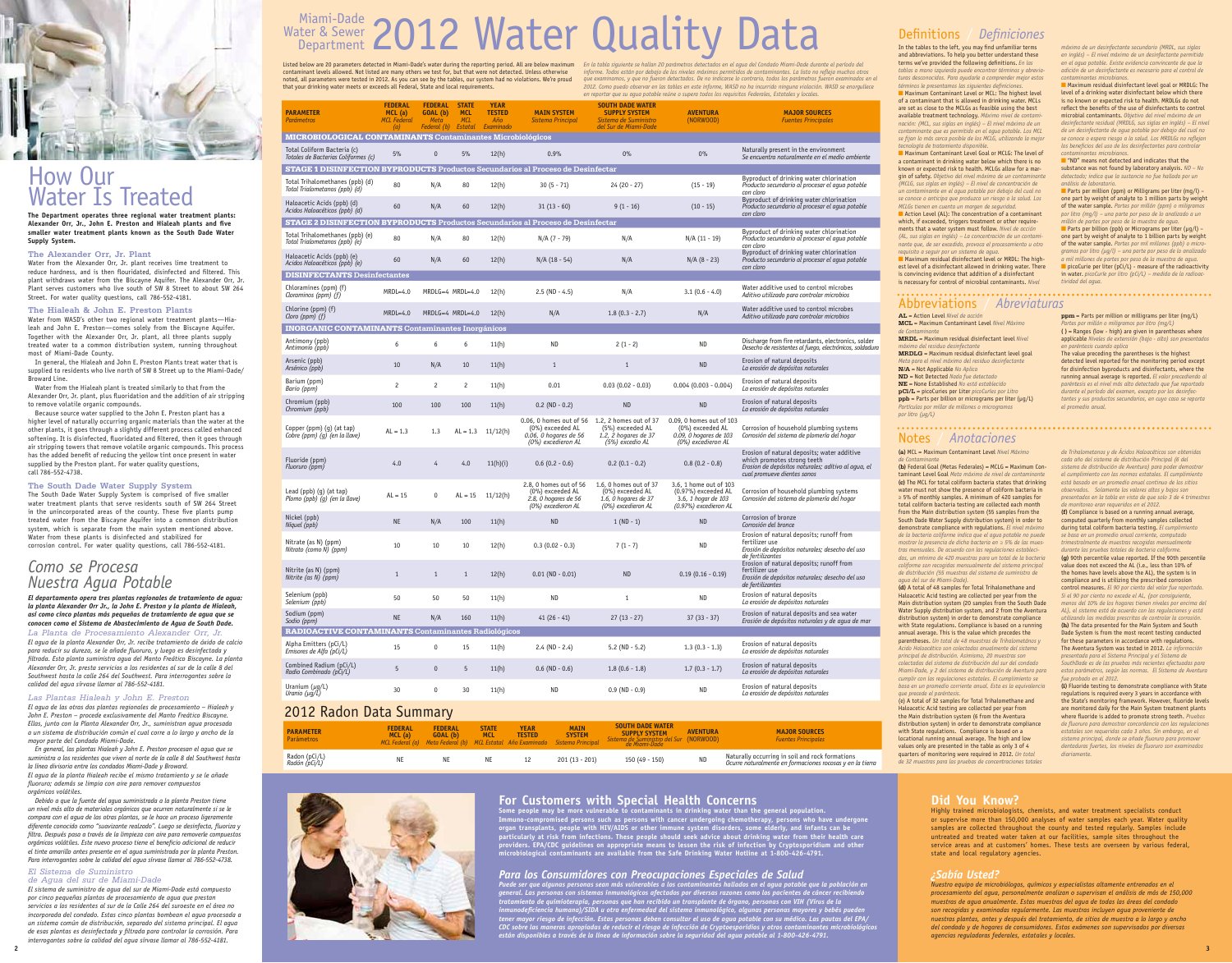## How Our Water Is Treated

**The Department operates three regional water treatment plants: Alexander Orr, Jr., John E. Preston and Hialeah plants and five smaller water treatment plants known as the South Dade Water Supply System.**

#### **The Alexander Orr, Jr. Plant**

Water from the Alexander Orr, Jr. plant receives lime treatment to reduce hardness, and is then flouridated, disinfected and filtered. This plant withdraws water from the Biscayne Aquifer. The Alexander Orr, Jr. Plant serves customers who live south of SW 8 Street to about SW 264 Street. For water quality questions, call 786-552-4181.

#### **The Hialeah & John E. Preston Plants**

Water from WASD's other two regional water treatment plants—Hialeah and John E. Preston—comes solely from the Biscayne Aquifer. Together with the Alexander Orr, Jr. plant, all three plants supply treated water to a common distribution system, running throughout most of Miami-Dade County.

In general, the Hialeah and John E. Preston Plants treat water that is supplied to residents who live north of SW 8 Street up to the Miami-Dade/ Broward Line.

Water from the Hialeah plant is treated similarly to that from the Alexander Orr, Jr. plant, plus fluoridation and the addition of air stripping to remove volatile organic compounds.

Because source water supplied to the John E. Preston plant has a higher level of naturally occurring organic materials than the water at the other plants, it goes through a slightly different process called enhanced softening. It is disinfected, fluoridated and filtered, then it goes through air stripping towers that remove volatile organic compounds. This process has the added benefit of reducing the yellow tint once present in water supplied by the Preston plant. For water quality questions, call 786-552-4738.

### **The South Dade Water Supply System**

The South Dade Water Supply System is comprised of five smaller water treatment plants that serve residents south of SW 264 Street in the unincorporated areas of the county. These five plants pump treated water from the Biscayne Aquifer into a common distribution system, which is separate from the main system mentioned above. Water from these plants is disinfected and stabilized for corrosion control. For water quality questions, call 786-552-4181.

## *Como se Procesa Nuestra Agua Potable*

*El departamento opera tres plantas regionales de tratamiento de agua: la planta Alexander Orr Jr., la John E. Preston y la planta de Hialeah, así como cinco plantas más pequeñas de tratamiento de agua que se conocen como el Sistema de Abastecimiento de Agua de South Dade.* 

*La Planta de Procesamiento Alexander Orr, Jr. El agua de la planta Alexander Orr, Jr. recibe tratamiento de óxido de calcio para reducir su dureza, se le añade fluoruro, y luego es desinfectada y filtrada. Esta planta suministra agua del Manto Freático Biscayne. La planta Alexander Orr, Jr. presta servicios a los residentes al sur de la calle 8 del Southwest hasta la calle 264 del Southwest. Para interrogantes sobre la calidad del agua sírvase llamar al 786-552-4181.* 

### *Las Plantas Hialeah y John E. Preston*

*El agua de las otras dos plantas regionales de procesamiento – Hialeah y John E. Preston – procede exclusivamente del Manto Freático Biscayne. Ellas, junto con la Planta Alexander Orr, Jr., suministran agua procesada a un sistema de distribución común el cual corre a lo largo y ancho de la mayor parte del Condado Miami-Dade.* 

*En general, las plantas Hialeah y John E. Preston procesan el agua que se suministra a los residentes que viven al norte de la calle 8 del Southwest hasta la línea divisoria entre los condados Miami-Dade y Broward. El agua de la planta Hialeah recibe el mismo tratamiento y se le añade* 

*fluoruro; además se limpia con aire para remover compuestos orgánicos volátiles.* 

*Debido a que la fuente del agua suministrada a la planta Preston tiene un nivel más alto de materiales orgánicos que ocurren naturalmente si se le compara con el agua de las otras plantas, se le hace un proceso ligeramente diferente conocido como "suavizante realzado". Luego se desinfecta, fluoriza y filtra. Después pasa a través de la limpieza con aire para removerle compuestos orgánicos volátiles. Este nuevo proceso tiene el beneficio adicional de reducir el tinte amarillo antes presente en el agua suministrada por la planta Preston. Para interrogantes sobre la calidad del agua sírvase llamar al 786-552-4738.*

### *El Sistema de Suministro*

*de Agua del sur de Miami-Dade El sistema de suministro de agua del sur de Miami-Dade está compuesto por cinco pequeñas plantas de procesamiento de agua que prestan servicios a los residentes al sur de la Calle 264 del suroeste en el área no incorporada del condado. Estas cinco plantas bombean el agua procesada a un sistema común de distribución, separado del sistema principal. El agua de esas plantas es desinfectada y filtrada para controlar la corrosión. Para interrogantes sobre la calidad del agua sírvase llamar al 786-552-4181.*

## Miami-Dade 2012 Water Quality Data Water & Sewer Department

**ppb** = Parts per billion or micrograms per liter ( $\mu$ g/L) *Partículas por millar de millones o microgramos por litro (µg/L)*

**ppm** = Parts per million or milligrams per liter (mg/L) *Partes por millón o miligramos por litro (mg/L)* **( )** = Ranges (low - high) are given in parentheses where applicable *Niveles de extensión (bajo - alto) son presentados en paréntesis cuando aplica*

| <b>PARAMETER</b><br><b>Parámetros</b>                                                  | <b>FEDERAL</b><br>$MCL$ (a)<br><b>MCL Federal</b><br>(a)   | <b>FEDERAL</b><br>GOAL (b)<br>Meta<br>Federal (b) | <b>STATE</b><br><b>MCL</b><br><b>MCL</b><br>Estatal | <b>YEAR</b><br><b>TESTED</b><br>Año<br>Examinado | <b>MAIN SYSTEM</b><br>Sistema Principal                                                    | <b>SOUTH DADE WATER</b><br><b>SUPPLY SYSTEM</b><br>Sistema de Suministro<br>del Sur de Miami-Dade | <b>AVENTURA</b><br>(NORWOOD)                                                                      | <b>MAJOR SOURCES</b><br><b>Fuentes Principales</b>                                                                                                               |  |  |  |  |  |
|----------------------------------------------------------------------------------------|------------------------------------------------------------|---------------------------------------------------|-----------------------------------------------------|--------------------------------------------------|--------------------------------------------------------------------------------------------|---------------------------------------------------------------------------------------------------|---------------------------------------------------------------------------------------------------|------------------------------------------------------------------------------------------------------------------------------------------------------------------|--|--|--|--|--|
| <b>MICROBIOLOGICAL CONTAMINANTS Contaminantes Microbiológicos</b>                      |                                                            |                                                   |                                                     |                                                  |                                                                                            |                                                                                                   |                                                                                                   |                                                                                                                                                                  |  |  |  |  |  |
| Total Coliform Bacteria (c)<br>Totales de Bacterias Coliformes (c)                     | 5%                                                         | $\mathbf{0}$                                      | 5%                                                  | 12(h)                                            | 0.9%                                                                                       | 0%                                                                                                | 0%                                                                                                | Naturally present in the environment<br>Se encuentra naturalmente en el medio ambiente                                                                           |  |  |  |  |  |
| <b>STAGE 1 DISINFECTION BYPRODUCTS</b> Productos Secundarios al Proceso de Desinfectar |                                                            |                                                   |                                                     |                                                  |                                                                                            |                                                                                                   |                                                                                                   |                                                                                                                                                                  |  |  |  |  |  |
| Total Trihalomethanes (ppb) (d)<br>Total Trialometanos (ppb) (d)                       | 80                                                         | N/A                                               | 80                                                  | 12(h)                                            | $30(5 - 71)$                                                                               | $24(20 - 27)$                                                                                     | $(15 - 19)$                                                                                       | Byproduct of drinking water chlorination<br>Producto secundario al procesar el agua potable<br>con cloro                                                         |  |  |  |  |  |
| Haloacetic Acids (ppb) (d)<br>Acidos Haloacéticos (ppb) (d)                            | 60                                                         | N/A                                               | 60                                                  | 12(h)                                            | $31(13-60)$                                                                                | $9(1 - 16)$                                                                                       | $(10 - 15)$                                                                                       | Byproduct of drinking water chlorination<br>Producto secundario al procesar el agua potable<br>con cloro                                                         |  |  |  |  |  |
| <b>STAGE 2 DISINFECTION BYPRODUCTS</b> Productos Secundarios al Proceso de Desinfectar |                                                            |                                                   |                                                     |                                                  |                                                                                            |                                                                                                   |                                                                                                   |                                                                                                                                                                  |  |  |  |  |  |
| Total Trihalomethanes (ppb) (e)<br>Total Trialometanos (ppb) (e)                       | 80                                                         | N/A                                               | 80                                                  | 12(h)                                            | $N/A (7 - 79)$                                                                             | N/A                                                                                               | $N/A$ (11 - 19)                                                                                   | Byproduct of drinking water chlorination<br>Producto secundario al procesar el agua potable<br>con cloro                                                         |  |  |  |  |  |
| Haloacetic Acids (ppb) (e)<br>Acidos Haloacéticos (ppb) (e)                            | 60                                                         | N/A                                               | 60                                                  | 12(h)                                            | $N/A$ (18 - 54)                                                                            | N/A                                                                                               | $N/A (8 - 23)$                                                                                    | Byproduct of drinking water chlorination<br>Producto secundario al procesar el agua potable<br>con cloro                                                         |  |  |  |  |  |
| <b>DISINFECTANTS Desinfectantes</b>                                                    |                                                            |                                                   |                                                     |                                                  |                                                                                            |                                                                                                   |                                                                                                   |                                                                                                                                                                  |  |  |  |  |  |
| Chloramines (ppm) (f)<br>Cloraminos (ppm) $(f)$                                        | $MRDL=4.0$                                                 | MRDLG=4 MRDL=4.0                                  |                                                     | 12(h)                                            | $2.5$ (ND - 4.5)                                                                           | N/A                                                                                               | $3.1(0.6 - 4.0)$                                                                                  | Water additive used to control microbes<br>Aditivo utilizado para controlar microbios                                                                            |  |  |  |  |  |
| Chlorine (ppm) (f)<br>Cloro (ppm) $(f)$                                                | $MRDL=4.0$                                                 | MRDLG=4 MRDL=4.0                                  |                                                     | 12(h)                                            | N/A                                                                                        | $1.8(0.3 - 2.7)$                                                                                  | N/A                                                                                               | Water additive used to control microbes<br>Aditivo utilizado para controlar microbios                                                                            |  |  |  |  |  |
| <b>INORGANIC CONTAMINANTS Contaminantes Inorgánicos</b>                                |                                                            |                                                   |                                                     |                                                  |                                                                                            |                                                                                                   |                                                                                                   |                                                                                                                                                                  |  |  |  |  |  |
| Antimony (ppb)<br>Antimonio (ppb)                                                      | 6                                                          | 6                                                 | 6                                                   | 11(h)                                            | <b>ND</b>                                                                                  | $2(1 - 2)$                                                                                        | <b>ND</b>                                                                                         | Discharge from fire retardants, electronics, solder<br>Desecho de resistentes al fuego, electrónicos, soldadura                                                  |  |  |  |  |  |
| Arsenic (ppb)<br>Arsénico (ppb)                                                        | 10                                                         | N/A                                               | 10                                                  | 11(h)                                            | $\mathbf{1}$                                                                               | $\mathbf{1}$                                                                                      | <b>ND</b>                                                                                         | Erosion of natural deposits<br>La erosión de depósitos naturales                                                                                                 |  |  |  |  |  |
| Barium (ppm)<br>Bario (ppm)                                                            | $\mathbf{2}$                                               | $\overline{c}$                                    | $\mathbf{2}$                                        | 11(h)                                            | 0.01                                                                                       | $0.03(0.02 - 0.03)$                                                                               | $0.004(0.003 - 0.004)$                                                                            | Erosion of natural deposits<br>La erosión de depósitos naturales                                                                                                 |  |  |  |  |  |
| Chromium (ppb)<br>Chromium (ppb)                                                       | 100                                                        | 100                                               | 100                                                 | 11(h)                                            | $0.2 (ND - 0.2)$                                                                           | <b>ND</b>                                                                                         | <b>ND</b>                                                                                         | Erosion of natural deposits<br>La erosión de depósitos naturales                                                                                                 |  |  |  |  |  |
| Copper (ppm) (g) (at tap)<br>Cobre (ppm) $(g)$ (en la llave)                           | $AL = 1.3$                                                 | 1.3                                               | $AL = 1.3$                                          | 11/12(h)                                         | 0.06, 0 homes out of 56<br>(0%) exceeded AL<br>0.06, 0 hogares de 56<br>(0%) excedieron AL | 1.2, 2 homes out of 37<br>(5%) exceeded AL<br>$1.2$ , 2 hogares de 37<br>(5%) excedio AL          | 0.09, 0 homes out of 103<br>(0%) exceeded AL<br>$0.09$ , $0$ hogares de 103<br>(0%) excedieron AL | Corrosion of household plumbing systems<br>Corrosión del sistema de plomería del hogar                                                                           |  |  |  |  |  |
| Fluoride (ppm)<br>Fluoruro (ppm)                                                       | 4.0                                                        | 4                                                 | 4.0                                                 | 11(h)(i)                                         | $0.6(0.2 - 0.6)$                                                                           | $0.2(0.1 - 0.2)$                                                                                  | $0.8(0.2 - 0.8)$                                                                                  | Erosion of natural deposits; water additive<br>which promotes strong teeth<br>Erosion de depósitos naturales; aditivo al agua, el<br>cual promueve dientes sanos |  |  |  |  |  |
| Lead (ppb) (g) (at tap)<br>Plomo (ppb) (g) (en la llave)                               | $AL = 15$                                                  | 0                                                 | $AL = 15$                                           | 11/12(h)                                         | 2.8, 0 homes out of 56<br>(0%) exceeded AL<br>$2.8, 0$ hogares de 56<br>(0%) excedieron AL | 1.6, 0 homes out of 37<br>(0%) exceeded AL<br>1.6, 0 hogares de 37<br>(0%) excedieron AL          | 3.6, 1 home out of 103<br>(0.97%) exceeded AL<br>3.6, 1 hogar de 103<br>(0.97%) excedieron AL     | Corrosion of household plumbing systems<br>Corrosión del sistema de plomería del hogar                                                                           |  |  |  |  |  |
| Nickel (ppb)<br>Níquel (ppb)                                                           | <b>NE</b>                                                  | N/A                                               | 100                                                 | 11(h)                                            | <b>ND</b>                                                                                  | $1 (ND - 1)$                                                                                      | <b>ND</b>                                                                                         | Corrosion of bronze<br>Corrosión del bronce                                                                                                                      |  |  |  |  |  |
| Nitrate (as N) (ppm)<br>Nitrato (como N) (ppm)                                         | 10                                                         | 10                                                | 10                                                  | 12(h)                                            | $0.3(0.02 - 0.3)$                                                                          | $7(1 - 7)$                                                                                        | <b>ND</b>                                                                                         | Erosion of natural deposits; runoff from<br>fertilizer use<br>Erosión de depósitos naturales; desecho del uso<br>de fertilizantes                                |  |  |  |  |  |
| Nitrite (as N) (ppm)<br>Nitrite (as $N$ ) (ppm)                                        | $\mathbf{1}$                                               | $\mathbf{1}$                                      | $\mathbf{1}$                                        | 12(h)                                            | $0.01$ (ND - 0.01)                                                                         | ND                                                                                                | $0.19$ $(0.16 - 0.19)$                                                                            | Erosion of natural deposits; runoff from<br>fertilizer use<br>Erosión de depósitos naturales; desecho del uso<br>de fertilizantes                                |  |  |  |  |  |
| Selenium (ppb)<br>Selenium (ppb)                                                       | 50                                                         | 50                                                | 50                                                  | 11(h)                                            | <b>ND</b>                                                                                  | $\mathbf{1}$                                                                                      | ND                                                                                                | Erosion of natural deposits<br>La erosión de depósitos naturales                                                                                                 |  |  |  |  |  |
| Sodium (ppm)<br>Sodio (ppm)                                                            | <b>NE</b>                                                  | N/A                                               | 160                                                 | 11(h)                                            | $41(26-41)$                                                                                | $27(13 - 27)$                                                                                     | $37(33 - 37)$                                                                                     | Erosion of natural deposits and sea water<br>Erosión de depósitos naturales y de agua de mar                                                                     |  |  |  |  |  |
|                                                                                        | <b>RADIOACTIVE CONTAMINANTS Contaminantes Radiológicos</b> |                                                   |                                                     |                                                  |                                                                                            |                                                                                                   |                                                                                                   |                                                                                                                                                                  |  |  |  |  |  |
| Alpha Emitters (pCi/L)<br>Emisores de Alfa (pCi/L)                                     | 15                                                         | 0                                                 | 15                                                  | 11(h)                                            | $2.4 (ND - 2.4)$                                                                           | 5.2 ( $ND - 5.2$ )                                                                                | $1.3(0.3 - 1.3)$                                                                                  | Erosion of natural deposits<br>La erosión de depósitos naturales                                                                                                 |  |  |  |  |  |
| Combined Radium (pCi/L)<br>Radio Combinado (pCi/L)                                     | 5                                                          | $\mathbf{0}$                                      | 5                                                   | 11(h)                                            | $0.6$ (ND - 0.6)                                                                           | $1.8(0.6 - 1.8)$                                                                                  | $1.7(0.3 - 1.7)$                                                                                  | Erosion of natural deposits<br>La erosión de depósitos naturales                                                                                                 |  |  |  |  |  |
| Uranium $(\mu g/L)$<br>Uranio $(\mu g/L)$                                              | 30                                                         | 0                                                 | 30                                                  | 11(h)                                            | <b>ND</b>                                                                                  | $0.9$ (ND - 0.9)                                                                                  | <b>ND</b>                                                                                         | Erosion of natural deposits<br>La erosión de depósitos naturales                                                                                                 |  |  |  |  |  |
| 2012 Dadon Data Cummary                                                                |                                                            |                                                   |                                                     |                                                  |                                                                                            |                                                                                                   |                                                                                                   |                                                                                                                                                                  |  |  |  |  |  |

■ Maximum Contaminant Level Goal or MCLG: The level of a contaminant in drinking water below which there is no known or expected risk to health. MCLGs allow for a margin of safety. *Objetivo del nivel máximo de un contaminante (MCLG, sus siglas en inglés) – El nivel de concentración de un contaminante en el agua potable por debajo del cual no se conoce o anticipa que produzca un riesgo a la salud. Los MCLGs tienen en cuenta un margen de seguridad.*

■ Action Level (AL): The concentration of a contaminant which, if exceeded, triggers treatment or other requirements that a water system must follow. *Nivel de acción (AL, sus siglas en inglés) – La concentración de un contaminante que, de ser excedido, provoca el procesamiento u otro requisito a seguir por un sistema de agua.* ■ Maximum residual disinfectant level or MRDL: The high-

#### ■ Maximum residual disinfectant level goal or MRDLG: The level of a drinking water disinfectant below which there is no known or expected risk to health. MRDLGs do not reflect the benefits of the use of disinfectants to control microbial contaminants. *Objetivo del nivel máximo de un desinfectante residual (MRDLG, sus siglas en inglés) – El nivel de un desinfectante de agua potable por debajo del cual no se conoce o espera riesgo a la salud. Los MRDLGs no reflejan*

*los beneficios del uso de los desinfectantes para controlar contaminantes microbianos.* ■ "ND" means not detected and indicates that the

### 2012 Radon Data Summary

**Parts per million (ppm) or Milligrams per liter (mg/l) –** one part by weight of analyte to 1 million parts by weight of the water sample. *Partes por millón (ppm) o miligramos por litro (mg/l) – una parte por peso de lo analizado a un millón de partes por peso de la muestra de agua.*

**Parts per billion (ppb) or Micrograms per liter (** $\mu$ **g/l) –** one part by weight of analyte to 1 billion parts by weight of the water sample. *Partes por mil millones (ppb) o microgramos por litro (µg/l) – una parte por peso de lo analizado a mil millones de partes por peso de la muestra de agua.*   $\blacksquare$  picoCurie per liter (pCi/L) - measure of the radioactivity in water. *picoCuríe por litro (pCi/L) – medida de la radioactividad del agua.*

Listed below are 20 parameters detected in Miami-Dade's water during the reporting period. All are below maximum contaminant levels allowed. Not listed are many others we test for, but that were not detected. Unless otherwise noted, all parameters were tested in 2012. As you can see by the tables, our system had no violations. We're proud that your drinking water meets or exceeds all Federal, State and local requirements.

> *Raturally occurring in soil and rock formations Ocurre naturalmente en formaciones rocosas y en la tierra*

*En la tabla siguiente se hallan 20 parámetros detectados en el agua del Condado Miami-Dade durante el período del informe. Todos están por debajo de los niveles máximos permitidos de contaminantes. La lista no refleja muchos otros que examinamos, y que no fueron detectados. De no indicarse lo contrario, todos los parámetros fueron examinados en el 2012. Como puedo observar en las tablas en este informe, WASD no ha incurrido ninguna violación. WASD se enorgullece en reportar que su agua potable reúne o supera todos los requisitos Federales, Estatales y locales.*

## Definitions / *Definiciones*

**AL** = Action Level *Nivel de acción* **MCL** = Maximum Contaminant Level *Nivel Máximo de Contaminante* 

**MRDL** = Maximum residual disinfectant level *Nivel máximo del residuo desinfectant* **MRDLG** = Maximum residual disinfectant level goal *Meta para el nivel máximo del residuo desinfectante* **N/A** = Not Applicable *No Aplica* **ND** = Not Detected *Nada fue detectado* **NE** = None Established *No está establecido* **pCi/L** = picoCuries per Liter *picoCuríes por Litro*

The value preceding the parentheses is the highest detected level reported for the monitoring period except for disinfection byproducts and disinfectants, where the running annual average is reported. *El valor precediendo al paréntesis es el nivel más alto detectado que fue reportado durante el período del examen, excepto por los desinfectantes y sus productos secundarios, en cuyo caso se reporta el promedio anual.*

## Abbreviations / *Abreviaturas*

**(a)** MCL = Maximum Contaminant Level *Nivel Máximo de Contaminante*

**(b)** Federal Goal (Metas Federales) = MCLG = Maximum Contaminant Level Goal *Meta máxima de nivel de contaminante* **(c)** The MCL for total coliform bacteria states that drinking water must not show the presence of coliform bacteria in ≥ 5% of monthly samples. A minimum of 420 samples for total coliform bacteria testing are collected each month from the Main distribution system (55 samples from the South Dade Water Supply distribution system) in order to demonstrate compliance with regulations. *El nivel máximo de la bacteria coliforme indica que el agua potable no puede mostrar la presencia de dicha bacteria en ≥ 5% de las muestras mensuales. De acuerdo con las regulaciones establecidas, un mínimo de 420 muestras para un total de la bacteria coliforme son recogidas mensualmente del sistema principal de distribución (55 muestras del sistema de suministro de agua del sur de Miami-Dade).*

**(d)** A total of 48 samples for Total Trihalomethane and Haloacetic Acid testing are collected per year from the Main distribution system (20 samples from the South Dade Water Supply distribution system, and 2 from the Aventura distribution system) in order to demonstrate compliance with State regulations. Compliance is based on a running annual average. This is the value which precedes the parentheses. *Un total de 48 muestras de Trihalometános y Acido Haloacético son colectadas anualmente del sistema principal de distribución. Asimismo, 20 muestras son colectadas del sistema de distribución del sur del condado Miami-Dade, y 2 del sistema de distribución de Aventura para cumplir con las regulaciones estatales. El cumplimiento se basa en un promedio corriente anual. Esta es la equivalencia que precede el paréntesis.* 

(e) A total of 32 samples for Total Trihalomethane and Haloacetic Acid testing are collected per year from the Main distribution system (6 from the Aventura distribution system) in order to demonstrate compliance with State regulations. Compliance is based on a locational running annual average. The high and low values only are presented in the table as only 3 of 4 quarters of monitoring were required in 2012. *Un total de 32 muestras para las pruebas de concentraciones totales*  *de Trihalometanos y de Ácidos Haloacéticos son obtenidas cada año del sistema de distribución Principal (6 del sistema de distribución de Aventura) para poder demostrar el cumplimiento con las normas estatales. El cumplimiento está basado en un promedio anual continuo de los sitios observados. Solamente los valores altos y bajos son presentados en la tabla en vista de que solo 3 de 4 trimestres de monitoreo eran requeridos en el 2012.*

**(f)** Compliance is based on a running annual average, computed quarterly from monthly samples collected during total coliform bacteria testing. *El cumplimiento se basa en un promedio anual corriente, computado trimestralmente de muestras recogidas mensualmente durante las pruebas totales de bacteria coliforme.* 

**(g)** 90th percentile value reported. If the 90th percentile value does not exceed the AL (i.e., less than 10% of the homes have levels above the AL), the system is in compliance and is utilizing the prescribed corrosion control measures. *El 90 por ciento del valor fue reportado. Si el 90 por ciento no excede el AL, {por consiguiente, menos del 10% de los hogares tienen niveles por encima del AL}, el sistema está de acuerdo con las regulaciones y está utilizando las medidas prescritas de controlar la corrosión.*

**(h)** The data presented for the Main System and South Dade System is from the most recent testing conducted for these parameters in accordance with regulations. The Aventura System was tested in 2012. *La información presentada para el Sistema Principal y el Sistema de SouthDade es de las pruebas más recientes efectuadas para*  estos parámetros, según las normas. El Sistema de Aventura *fue probado en el 2012.* 

**(i)** Fluoride testing to demonstrate compliance with State regulations is required every 3 years in accordance with the State's monitoring framework. However, fluoride levels are monitored daily for the Main System treatment plants where fluoride is added to promote strong teeth. *Pruebas de fluoruro para demostrar concordancia con las regulaciones estatales son requeridas cada 3 años. Sin embargo, en el sistema principal, donde se añade fluoruro para promover dentaduras fuertes, los niveles de fluoruro son examinados diariamente.*

### Notes / *Anotaciones*

In the tables to the left, you may find unfamiliar terms and abbreviations. To help you better understand these terms we've provided the following definitions. *En las tablas a mano izquierda puede encontrar términos y abreviaturas desconocidos. Para ayudarle a comprender mejor estos* 

*términos le presentamos las siguientes definiciones.*  ■ Maximum Contaminant Level or MCL: The highest level of a contaminant that is allowed in drinking water. MCLs are set as close to the MCLGs as feasible using the best available treatment technology. *Máximo nivel de contaminación: (MCL, sus siglas en inglés) – El nivel máximo de un contaminante que es permitido en el agua potable. Los MCL se fijan lo más cerca posible de los MCLG, utilizando la mejor tecnología de tratamiento disponible.* 

est level of a disinfectant allowed in drinking water. There is convincing evidence that addition of a disinfectant is necessary for control of microbial contaminants. *Nivel* 

*máximo de un desinfectante secundario (MRDL, sus siglas en inglés) – El nivel máximo de un desinfectante permitido en el agua potable. Existe evidencia convincente de que la adición de un desinfectante es necesario para el control de contaminantes microbianos.*

substance was not found by laboratory analysis. *ND – No detectado; indica que la sustancia no fue hallada por un análisis de laboratorio.*

| <b>PARAMETER</b><br>Parámetros | <b>FEDERAL</b><br>MCL (a) | <b>FEDERAL</b><br>GOAL (b) | <b>STATE</b><br><b>MCL</b> | <b>YEAR</b><br><b>TESTED</b> | <b>MAIN</b><br><b>SYSTEM</b><br>MCL Federal (a) Meta Federal (b) MCL Estatal Año Examinado Sistema Principal | <b>SOUTH DADE WATER</b><br><b>SUPPLY SYSTEM</b><br>Sistema de Suministro del Sur (NORWOOD)<br>de Miami-Dade | <b>AVENTURA</b> |
|--------------------------------|---------------------------|----------------------------|----------------------------|------------------------------|--------------------------------------------------------------------------------------------------------------|-------------------------------------------------------------------------------------------------------------|-----------------|
| Radon (pCi/L)<br>Radón (pCi/L) | <b>NE</b>                 | NE                         | NE                         | 12                           | 201 (13 - 201)                                                                                               | 150 (49 - 150)                                                                                              | <b>ND</b>       |

**MAJOR SOURCES** *Fuentes Principales*



### **Did You Know?**

Highly trained microbiologists, chemists, and water treatment specialists conduct or supervise more than 150,000 analyses of water samples each year. Water quality samples are collected throughout the county and tested regularly. Samples include untreated and treated water taken at our facilities, sample sites throughout the service areas and at customers' homes. These tests are overseen by various federal, state and local regulatory agencies.

### *¿Sabía Usted?*

*Nuestro equipo de microbiólogos, químicos y especialistas altamente entrenados en el procesamiento del agua, personalmente analizan o supervisan el análisis de más de 150,000 muestras de agua anualmente. Estas muestras del agua de todas las áreas del condado son recogidas y examinadas regularmente. Las muestras incluyen agua proveniente de nuestras plantas, antes y después del tratamiento, de sitios de muestra a lo largo y ancho del condado y de hogares de consumidores. Estos exámenes son supervisados por diversas agencias reguladoras federales, estatales y locales.*

# **For Customers with Special Health Concerns**

**Some people may be more vulnerable to contaminants in drinking water than the general population. Immuno-compromised persons such as persons with cancer undergoing chemotherapy, persons who have undergone organ transplants, people with HIV/AIDS or other immune system disorders, some elderly, and infants can be particularly at risk from infections. These people should seek advice about drinking water from their health care providers. EPA/CDC guidelines on appropriate means to lessen the risk of infection by Cryptosporidium and other microbiological contaminants are available from the Safe Drinking Water Hotline at 1-800-426-4791.** 

#### *Para los Consumidores con Preocupaciones Especiales de Salud Puede ser que algunas personas sean más vulnerables a los contaminantes hallados en el agua potable que la población en*

*general. Las personas con sistemas inmunológicos afectados por diversas razones como los pacientes de cáncer recibiendo tratamiento de quimioterapia, personas que han recibido un transplante de órgano, personas con VIH (Virus de la inmunodeficiencia humana)/SIDA u otra enfermedad del sistema inmunológico, algunas personas mayores y bebés pueden tener mayor riesgo de infección. Estas personas deben consultar el uso de agua potable con su médico. Las pautas del EPA/ CDC sobre las maneras apropiadas de reducir el riesgo de infección de Cryptoesporidios y otros contaminantes microbiológicos están disponibles a través de la línea de información sobre la seguridad del agua potable al 1-800-426-4791.*